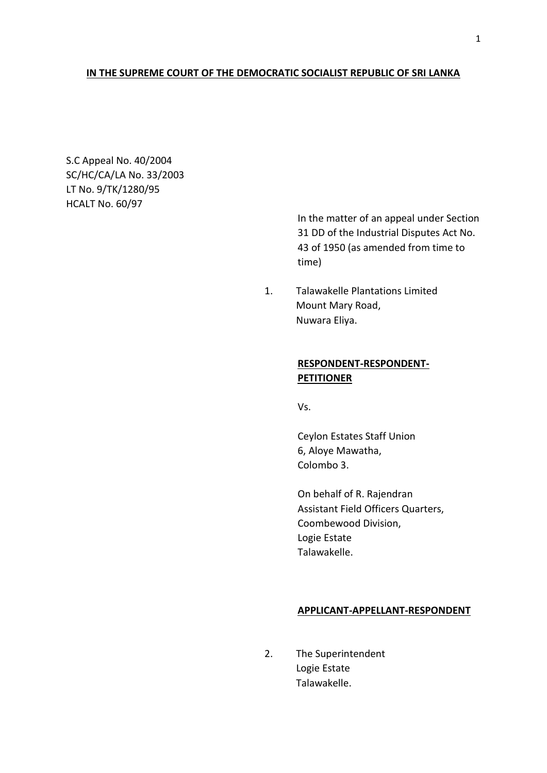### **IN THE SUPREME COURT OF THE DEMOCRATIC SOCIALIST REPUBLIC OF SRI LANKA**

S.C Appeal No. 40/2004 SC/HC/CA/LA No. 33/2003 LT No. 9/TK/1280/95 HCALT No. 60/97

> In the matter of an appeal under Section 31 DD of the Industrial Disputes Act No. 43 of 1950 (as amended from time to time)

1. Talawakelle Plantations Limited Mount Mary Road, Nuwara Eliya.

## **RESPONDENT-RESPONDENT-PETITIONER**

Vs.

Ceylon Estates Staff Union 6, Aloye Mawatha, Colombo 3.

On behalf of R. Rajendran Assistant Field Officers Quarters, Coombewood Division, Logie Estate Talawakelle.

#### **APPLICANT-APPELLANT-RESPONDENT**

2. The Superintendent Logie Estate Talawakelle.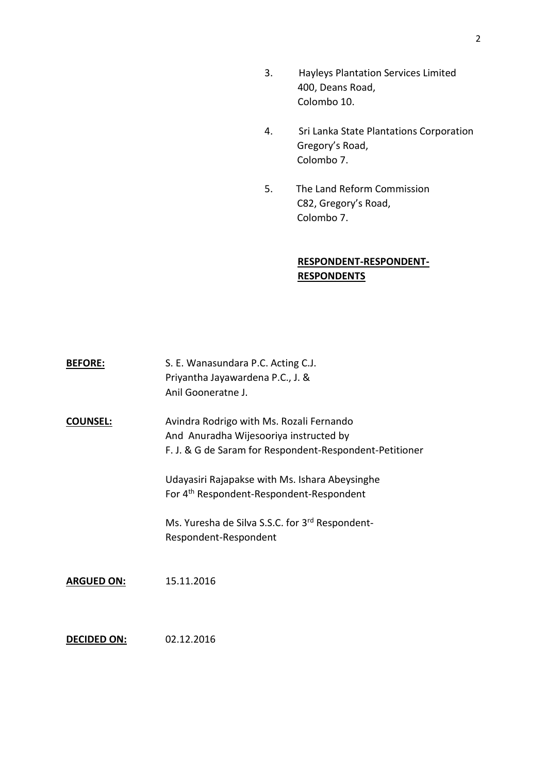- 3. Hayleys Plantation Services Limited 400, Deans Road, Colombo 10.
- 4. Sri Lanka State Plantations Corporation Gregory's Road, Colombo 7.
- 5. The Land Reform Commission C82, Gregory's Road, Colombo 7.

# **RESPONDENT-RESPONDENT-RESPONDENTS**

| <b>BEFORE:</b>     | S. E. Wanasundara P.C. Acting C.J.<br>Priyantha Jayawardena P.C., J. &<br>Anil Gooneratne J.                                                  |
|--------------------|-----------------------------------------------------------------------------------------------------------------------------------------------|
| <b>COUNSEL:</b>    | Avindra Rodrigo with Ms. Rozali Fernando<br>And Anuradha Wijesooriya instructed by<br>F. J. & G de Saram for Respondent-Respondent-Petitioner |
|                    | Udayasiri Rajapakse with Ms. Ishara Abeysinghe<br>For 4 <sup>th</sup> Respondent-Respondent-Respondent                                        |
|                    | Ms. Yuresha de Silva S.S.C. for 3 <sup>rd</sup> Respondent-<br>Respondent-Respondent                                                          |
| <b>ARGUED ON:</b>  | 15.11.2016                                                                                                                                    |
| <b>DECIDED ON:</b> | 02.12.2016                                                                                                                                    |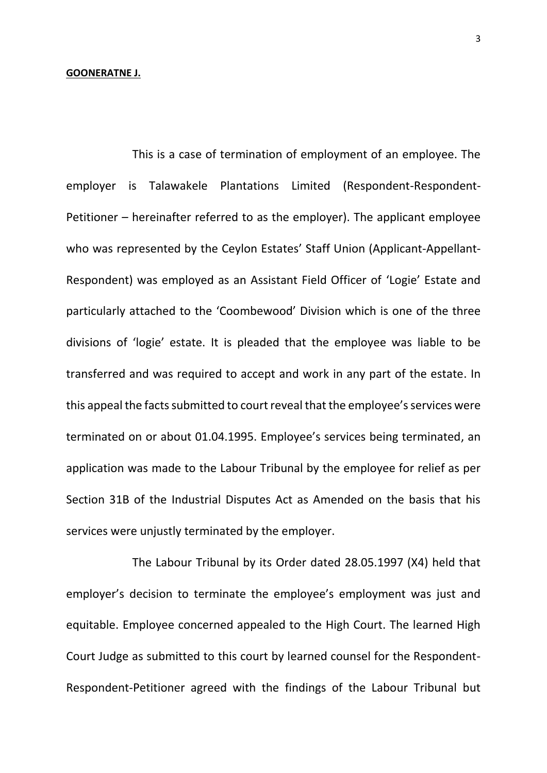#### **GOONERATNE J.**

This is a case of termination of employment of an employee. The employer is Talawakele Plantations Limited (Respondent-Respondent-Petitioner – hereinafter referred to as the employer). The applicant employee who was represented by the Ceylon Estates' Staff Union (Applicant-Appellant-Respondent) was employed as an Assistant Field Officer of 'Logie' Estate and particularly attached to the 'Coombewood' Division which is one of the three divisions of 'logie' estate. It is pleaded that the employee was liable to be transferred and was required to accept and work in any part of the estate. In this appeal the facts submitted to court reveal that the employee's services were terminated on or about 01.04.1995. Employee's services being terminated, an application was made to the Labour Tribunal by the employee for relief as per Section 31B of the Industrial Disputes Act as Amended on the basis that his services were unjustly terminated by the employer.

The Labour Tribunal by its Order dated 28.05.1997 (X4) held that employer's decision to terminate the employee's employment was just and equitable. Employee concerned appealed to the High Court. The learned High Court Judge as submitted to this court by learned counsel for the Respondent-Respondent-Petitioner agreed with the findings of the Labour Tribunal but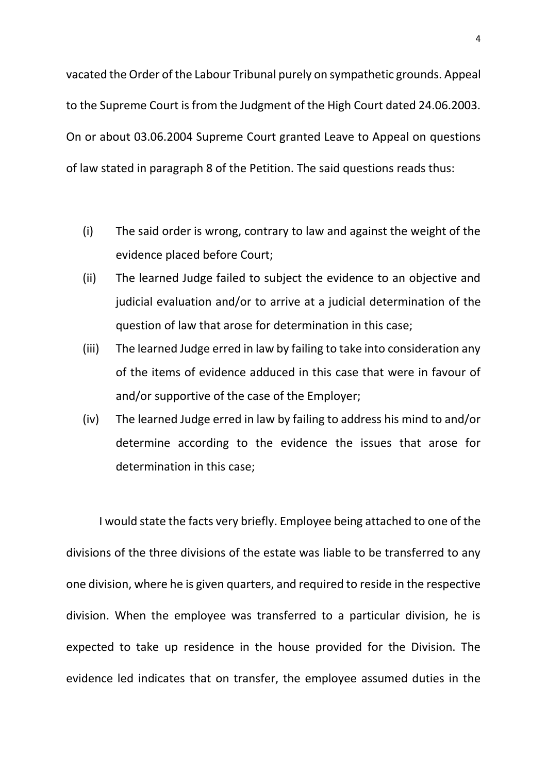vacated the Order of the Labour Tribunal purely on sympathetic grounds. Appeal to the Supreme Court is from the Judgment of the High Court dated 24.06.2003. On or about 03.06.2004 Supreme Court granted Leave to Appeal on questions of law stated in paragraph 8 of the Petition. The said questions reads thus:

- (i) The said order is wrong, contrary to law and against the weight of the evidence placed before Court;
- (ii) The learned Judge failed to subject the evidence to an objective and judicial evaluation and/or to arrive at a judicial determination of the question of law that arose for determination in this case;
- (iii) The learned Judge erred in law by failing to take into consideration any of the items of evidence adduced in this case that were in favour of and/or supportive of the case of the Employer;
- (iv) The learned Judge erred in law by failing to address his mind to and/or determine according to the evidence the issues that arose for determination in this case;

I would state the facts very briefly. Employee being attached to one of the divisions of the three divisions of the estate was liable to be transferred to any one division, where he is given quarters, and required to reside in the respective division. When the employee was transferred to a particular division, he is expected to take up residence in the house provided for the Division. The evidence led indicates that on transfer, the employee assumed duties in the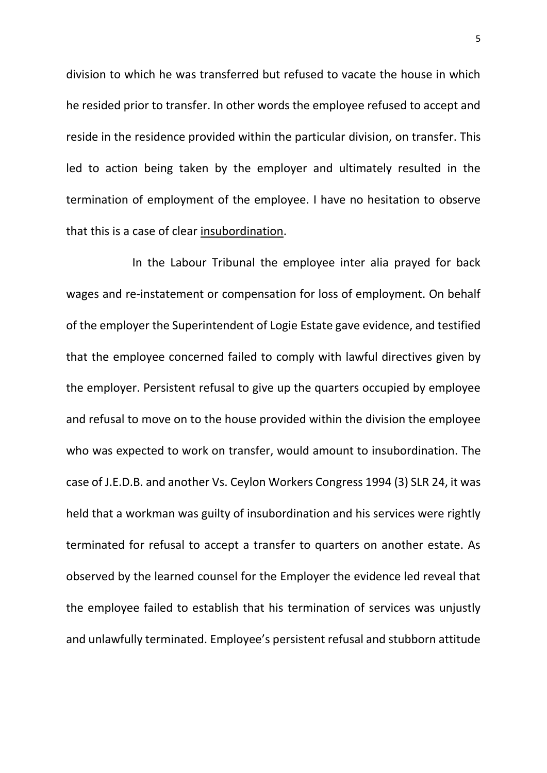division to which he was transferred but refused to vacate the house in which he resided prior to transfer. In other words the employee refused to accept and reside in the residence provided within the particular division, on transfer. This led to action being taken by the employer and ultimately resulted in the termination of employment of the employee. I have no hesitation to observe that this is a case of clear insubordination.

In the Labour Tribunal the employee inter alia prayed for back wages and re-instatement or compensation for loss of employment. On behalf of the employer the Superintendent of Logie Estate gave evidence, and testified that the employee concerned failed to comply with lawful directives given by the employer. Persistent refusal to give up the quarters occupied by employee and refusal to move on to the house provided within the division the employee who was expected to work on transfer, would amount to insubordination. The case of J.E.D.B. and another Vs. Ceylon Workers Congress 1994 (3) SLR 24, it was held that a workman was guilty of insubordination and his services were rightly terminated for refusal to accept a transfer to quarters on another estate. As observed by the learned counsel for the Employer the evidence led reveal that the employee failed to establish that his termination of services was unjustly and unlawfully terminated. Employee's persistent refusal and stubborn attitude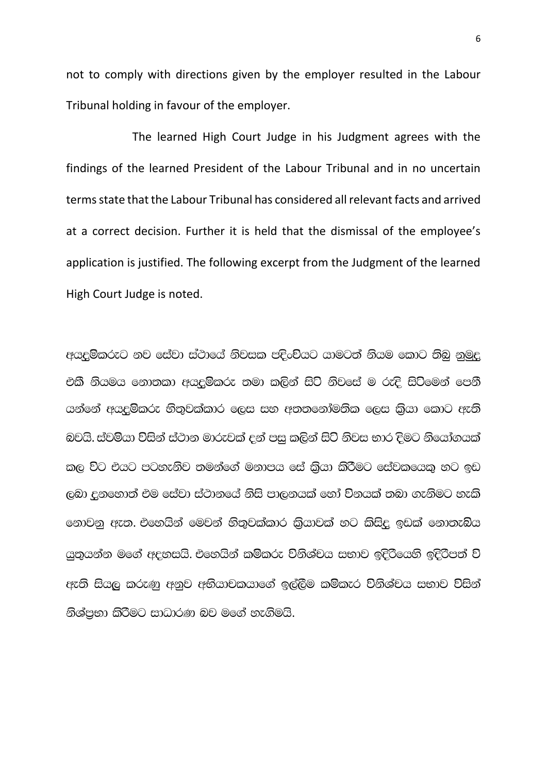not to comply with directions given by the employer resulted in the Labour Tribunal holding in favour of the employer.

The learned High Court Judge in his Judgment agrees with the findings of the learned President of the Labour Tribunal and in no uncertain terms state that the Labour Tribunal has considered all relevant facts and arrived at a correct decision. Further it is held that the dismissal of the employee's application is justified. The following excerpt from the Judgment of the learned High Court Judge is noted.

අයුදුම්කරුට නව සේවා ස්ථායේ නිවසක පදිංචියට යාමටත් නියම කොට තිබු නුමුදු එකී නියමය නොතකා අයදුම්කරු තමා කලින් සිටි නිවසේ ම රුදි සිටිමෙන් පෙනී යන්නේ අයදුම්කරු හිතුවක්කාර ලෙස සහ අතතනෝමතික ලෙස කියා කොට ඇති බවයි. ස්වම්යා විසින් ස්ථාන මාරුවක් දුන් පසු කලින් සිටි නිවස භාර දිමට නියෝගයක් කල විට එයට පටහැනිව තමන්ගේ මනාපය සේ කියා කිරීමට සේවකයෙක හට ඉඩ ,ලබා දුනහොත් එම සේවා ස්ථානයේ නිසි පාලනයක් හෝ විනයක් තබා ගැනිමට හැකි fkdjkq we;. tfyhska fujka y s;=jlaldr l%shdjla yg lsi so q bvla fkd;ensh යුතුයන්න මගේ අදහසයි. එහෙයින් කම්කරු විනිශ්චය සභාව ඉදිරියෙහි ඉදිරිපත් වි ඇති සියලු කරුණු අනුව අභියාචකයාගේ ඉල්ලීම කම්කැර විනිශ්චය සභාව විසින් නිශ්පුභා කිරීමට සාධාරණ බව මගේ හැගිමයි.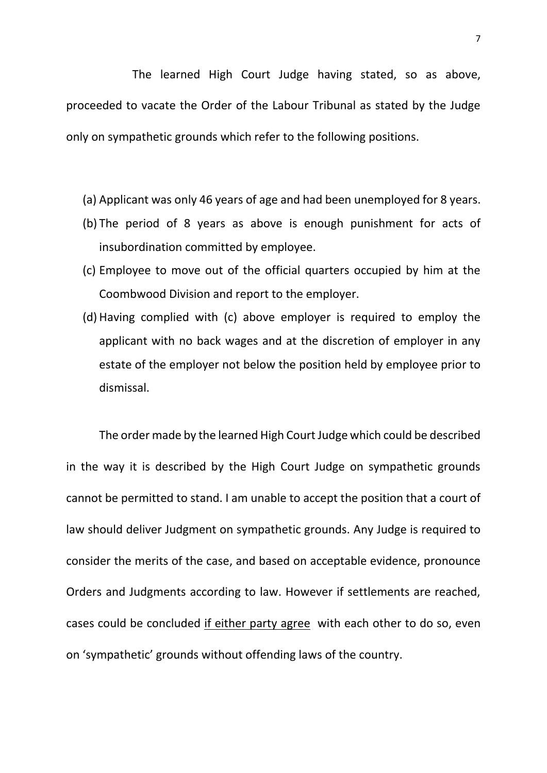The learned High Court Judge having stated, so as above, proceeded to vacate the Order of the Labour Tribunal as stated by the Judge only on sympathetic grounds which refer to the following positions.

- (a) Applicant was only 46 years of age and had been unemployed for 8 years.
- (b) The period of 8 years as above is enough punishment for acts of insubordination committed by employee.
- (c) Employee to move out of the official quarters occupied by him at the Coombwood Division and report to the employer.
- (d) Having complied with (c) above employer is required to employ the applicant with no back wages and at the discretion of employer in any estate of the employer not below the position held by employee prior to dismissal.

The order made by the learned High Court Judge which could be described in the way it is described by the High Court Judge on sympathetic grounds cannot be permitted to stand. I am unable to accept the position that a court of law should deliver Judgment on sympathetic grounds. Any Judge is required to consider the merits of the case, and based on acceptable evidence, pronounce Orders and Judgments according to law. However if settlements are reached, cases could be concluded if either party agree with each other to do so, even on 'sympathetic' grounds without offending laws of the country.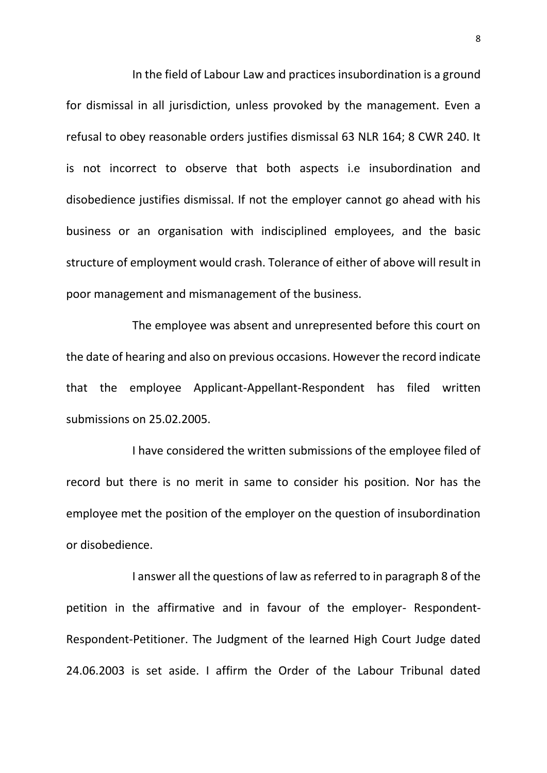In the field of Labour Law and practices insubordination is a ground for dismissal in all jurisdiction, unless provoked by the management. Even a refusal to obey reasonable orders justifies dismissal 63 NLR 164; 8 CWR 240. It is not incorrect to observe that both aspects i.e insubordination and disobedience justifies dismissal. If not the employer cannot go ahead with his business or an organisation with indisciplined employees, and the basic structure of employment would crash. Tolerance of either of above will result in poor management and mismanagement of the business.

The employee was absent and unrepresented before this court on the date of hearing and also on previous occasions. However the record indicate that the employee Applicant-Appellant-Respondent has filed written submissions on 25.02.2005.

I have considered the written submissions of the employee filed of record but there is no merit in same to consider his position. Nor has the employee met the position of the employer on the question of insubordination or disobedience.

I answer all the questions of law as referred to in paragraph 8 of the petition in the affirmative and in favour of the employer- Respondent-Respondent-Petitioner. The Judgment of the learned High Court Judge dated 24.06.2003 is set aside. I affirm the Order of the Labour Tribunal dated